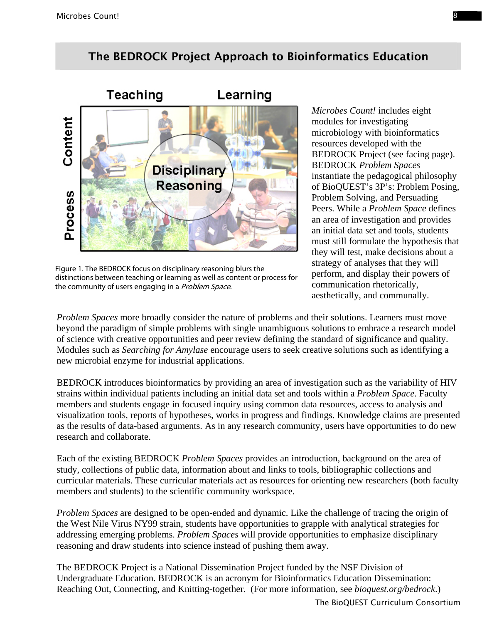## The BEDROCK Project Approach to Bioinformatics Education



Figure 1. The BEDROCK focus on disciplinary reasoning blurs the distinctions between teaching or learning as well as content or process for the community of users engaging in a Problem Space.

*Microbes Count!* includes eight modules for investigating microbiology with bioinformatics resources developed with the BEDROCK Project (see facing page). BEDROCK *Problem Spaces* instantiate the pedagogical philosophy of BioQUEST's 3P's: Problem Posing, Problem Solving, and Persuading Peers. While a *Problem Space* defines an area of investigation and provides an initial data set and tools, students must still formulate the hypothesis that they will test, make decisions about a strategy of analyses that they will perform, and display their powers of communication rhetorically, aesthetically, and communally.

*Problem Spaces* more broadly consider the nature of problems and their solutions. Learners must move beyond the paradigm of simple problems with single unambiguous solutions to embrace a research model of science with creative opportunities and peer review defining the standard of significance and quality. Modules such as *Searching for Amylase* encourage users to seek creative solutions such as identifying a new microbial enzyme for industrial applications.

BEDROCK introduces bioinformatics by providing an area of investigation such as the variability of HIV strains within individual patients including an initial data set and tools within a *Problem Space*. Faculty members and students engage in focused inquiry using common data resources, access to analysis and visualization tools, reports of hypotheses, works in progress and findings. Knowledge claims are presented as the results of data-based arguments. As in any research community, users have opportunities to do new research and collaborate.

Each of the existing BEDROCK *Problem Spaces* provides an introduction, background on the area of study, collections of public data, information about and links to tools, bibliographic collections and curricular materials. These curricular materials act as resources for orienting new researchers (both faculty members and students) to the scientific community workspace.

*Problem Spaces* are designed to be open-ended and dynamic. Like the challenge of tracing the origin of the West Nile Virus NY99 strain, students have opportunities to grapple with analytical strategies for addressing emerging problems. *Problem Spaces* will provide opportunities to emphasize disciplinary reasoning and draw students into science instead of pushing them away.

The BEDROCK Project is a National Dissemination Project funded by the NSF Division of Undergraduate Education. BEDROCK is an acronym for Bioinformatics Education Dissemination: Reaching Out, Connecting, and Knitting-together. (For more information, see *bioquest.org/bedrock*.)